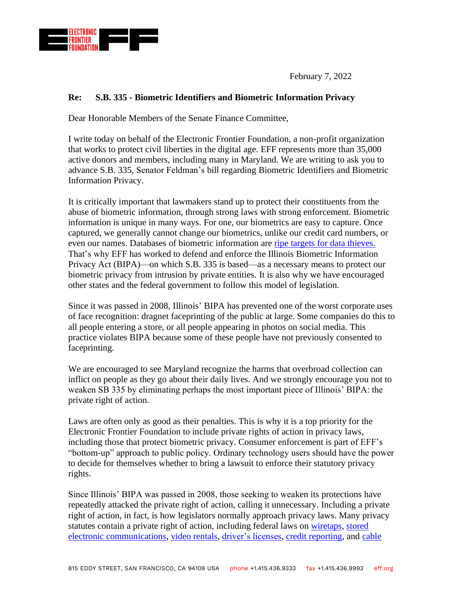

February 7, 2022

## **Re: S.B. 335 - Biometric Identifiers and Biometric Information Privacy**

Dear Honorable Members of the Senate Finance Committee,

I write today on behalf of the Electronic Frontier Foundation, a non-profit organization that works to protect civil liberties in the digital age. EFF represents more than 35,000 active donors and members, including many in Maryland. We are writing to ask you to advance S.B. 335, Senator Feldman's bill regarding Biometric Identifiers and Biometric Information Privacy.

It is critically important that lawmakers stand up to protect their constituents from the abuse of biometric information, through strong laws with strong enforcement. Biometric information is unique in many ways. For one, our biometrics are easy to capture. Once captured, we generally cannot change our biometrics, unlike our credit card numbers, or even our names. Databases of biometric information are [ripe targets for data thieves.](https://www.oig.dhs.gov/sites/default/files/assets/2020-09/OIG-20-71-Sep20.pdf) That's why EFF has worked to defend and enforce the Illinois Biometric Information Privacy Act (BIPA)—on which S.B. 335 is based—as a necessary means to protect our biometric privacy from intrusion by private entities. It is also why we have encouraged other states and the federal government to follow this model of legislation.

Since it was passed in 2008, Illinois' BIPA has prevented one of the worst corporate uses of face recognition: dragnet faceprinting of the public at large. Some companies do this to all people entering a store, or all people appearing in photos on social media. This practice violates BIPA because some of these people have not previously consented to faceprinting.

We are encouraged to see Maryland recognize the harms that overbroad collection can inflict on people as they go about their daily lives. And we strongly encourage you not to weaken SB 335 by eliminating perhaps the most important piece of Illinois' BIPA: the private right of action.

Laws are often only as good as their penalties. This is why it is a top priority for the Electronic Frontier Foundation to include private rights of action in privacy laws, including those that protect biometric privacy. Consumer enforcement is part of EFF's "bottom-up" approach to public policy. Ordinary technology users should have the power to decide for themselves whether to bring a lawsuit to enforce their statutory privacy rights.

Since Illinois' BIPA was passed in 2008, those seeking to weaken its protections have repeatedly attacked the private right of action, calling it unnecessary. Including a private right of action, in fact, is how legislators normally approach privacy laws. Many privacy statutes contain a private right of action, including federal laws on [wiretaps,](https://www.law.cornell.edu/uscode/text/18/2520) [stored](https://www.law.cornell.edu/uscode/text/18/2707)  [electronic communications,](https://www.law.cornell.edu/uscode/text/18/2707) [video rentals,](https://www.law.cornell.edu/uscode/text/18/2710) [driver's licenses,](https://www.law.cornell.edu/uscode/text/18/2724) [credit reporting,](https://www.law.cornell.edu/uscode/text/15/1681n) and [cable](https://www.law.cornell.edu/uscode/text/47/551)